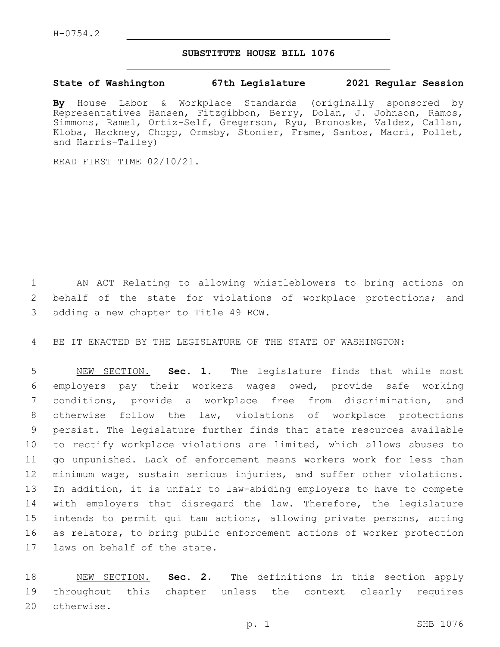## **SUBSTITUTE HOUSE BILL 1076**

**State of Washington 67th Legislature 2021 Regular Session**

**By** House Labor & Workplace Standards (originally sponsored by Representatives Hansen, Fitzgibbon, Berry, Dolan, J. Johnson, Ramos, Simmons, Ramel, Ortiz-Self, Gregerson, Ryu, Bronoske, Valdez, Callan, Kloba, Hackney, Chopp, Ormsby, Stonier, Frame, Santos, Macri, Pollet, and Harris-Talley)

READ FIRST TIME 02/10/21.

1 AN ACT Relating to allowing whistleblowers to bring actions on 2 behalf of the state for violations of workplace protections; and 3 adding a new chapter to Title 49 RCW.

4 BE IT ENACTED BY THE LEGISLATURE OF THE STATE OF WASHINGTON:

 NEW SECTION. **Sec. 1.** The legislature finds that while most employers pay their workers wages owed, provide safe working conditions, provide a workplace free from discrimination, and otherwise follow the law, violations of workplace protections persist. The legislature further finds that state resources available to rectify workplace violations are limited, which allows abuses to go unpunished. Lack of enforcement means workers work for less than minimum wage, sustain serious injuries, and suffer other violations. In addition, it is unfair to law-abiding employers to have to compete 14 with employers that disregard the law. Therefore, the legislature intends to permit qui tam actions, allowing private persons, acting as relators, to bring public enforcement actions of worker protection laws on behalf of the state.

18 NEW SECTION. **Sec. 2.** The definitions in this section apply 19 throughout this chapter unless the context clearly requires 20 otherwise.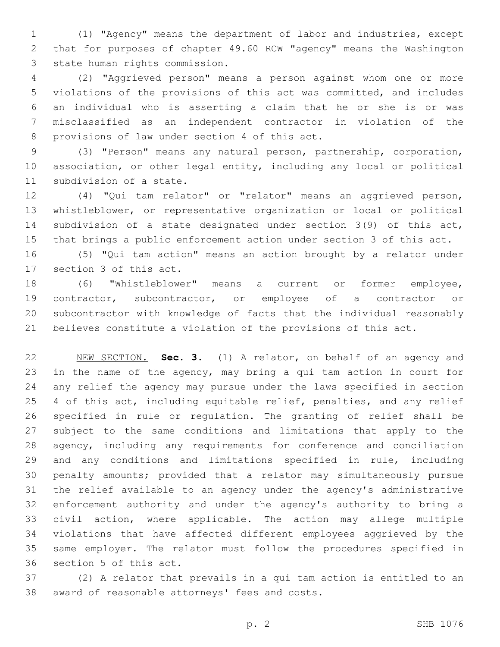(1) "Agency" means the department of labor and industries, except that for purposes of chapter 49.60 RCW "agency" means the Washington 3 state human rights commission.

 (2) "Aggrieved person" means a person against whom one or more violations of the provisions of this act was committed, and includes an individual who is asserting a claim that he or she is or was misclassified as an independent contractor in violation of the 8 provisions of law under section 4 of this act.

 (3) "Person" means any natural person, partnership, corporation, association, or other legal entity, including any local or political 11 subdivision of a state.

 (4) "Qui tam relator" or "relator" means an aggrieved person, whistleblower, or representative organization or local or political subdivision of a state designated under section 3(9) of this act, that brings a public enforcement action under section 3 of this act.

 (5) "Qui tam action" means an action brought by a relator under 17 section 3 of this act.

 (6) "Whistleblower" means a current or former employee, contractor, subcontractor, or employee of a contractor or subcontractor with knowledge of facts that the individual reasonably believes constitute a violation of the provisions of this act.

 NEW SECTION. **Sec. 3.** (1) A relator, on behalf of an agency and in the name of the agency, may bring a qui tam action in court for any relief the agency may pursue under the laws specified in section 25 4 of this act, including equitable relief, penalties, and any relief specified in rule or regulation. The granting of relief shall be subject to the same conditions and limitations that apply to the agency, including any requirements for conference and conciliation and any conditions and limitations specified in rule, including penalty amounts; provided that a relator may simultaneously pursue the relief available to an agency under the agency's administrative enforcement authority and under the agency's authority to bring a civil action, where applicable. The action may allege multiple violations that have affected different employees aggrieved by the same employer. The relator must follow the procedures specified in section 5 of this act.

 (2) A relator that prevails in a qui tam action is entitled to an 38 award of reasonable attorneys' fees and costs.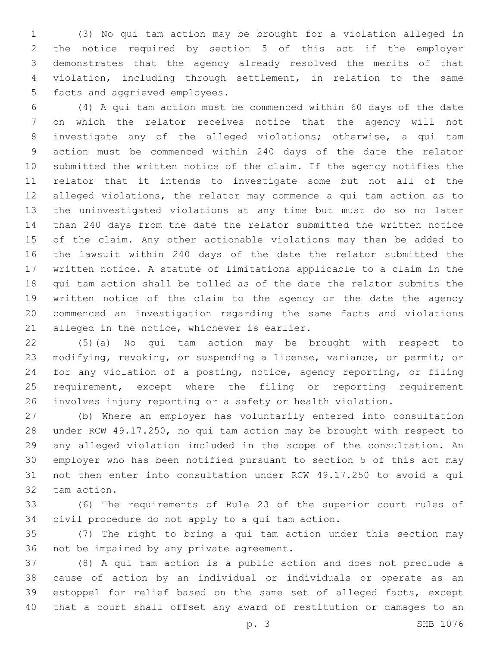(3) No qui tam action may be brought for a violation alleged in the notice required by section 5 of this act if the employer demonstrates that the agency already resolved the merits of that violation, including through settlement, in relation to the same 5 facts and aggrieved employees.

 (4) A qui tam action must be commenced within 60 days of the date on which the relator receives notice that the agency will not investigate any of the alleged violations; otherwise, a qui tam action must be commenced within 240 days of the date the relator submitted the written notice of the claim. If the agency notifies the relator that it intends to investigate some but not all of the alleged violations, the relator may commence a qui tam action as to the uninvestigated violations at any time but must do so no later than 240 days from the date the relator submitted the written notice of the claim. Any other actionable violations may then be added to the lawsuit within 240 days of the date the relator submitted the written notice. A statute of limitations applicable to a claim in the qui tam action shall be tolled as of the date the relator submits the written notice of the claim to the agency or the date the agency commenced an investigation regarding the same facts and violations 21 alleged in the notice, whichever is earlier.

 (5)(a) No qui tam action may be brought with respect to modifying, revoking, or suspending a license, variance, or permit; or for any violation of a posting, notice, agency reporting, or filing requirement, except where the filing or reporting requirement involves injury reporting or a safety or health violation.

 (b) Where an employer has voluntarily entered into consultation under RCW 49.17.250, no qui tam action may be brought with respect to any alleged violation included in the scope of the consultation. An employer who has been notified pursuant to section 5 of this act may not then enter into consultation under RCW 49.17.250 to avoid a qui 32 tam action.

 (6) The requirements of Rule 23 of the superior court rules of 34 civil procedure do not apply to a qui tam action.

 (7) The right to bring a qui tam action under this section may 36 not be impaired by any private agreement.

 (8) A qui tam action is a public action and does not preclude a cause of action by an individual or individuals or operate as an estoppel for relief based on the same set of alleged facts, except that a court shall offset any award of restitution or damages to an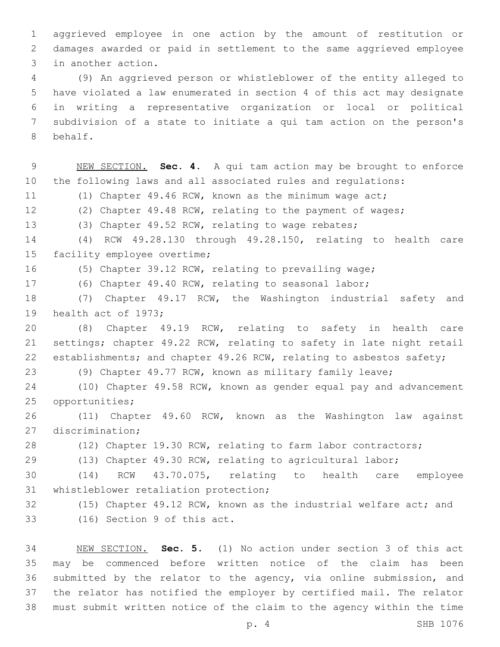aggrieved employee in one action by the amount of restitution or damages awarded or paid in settlement to the same aggrieved employee 3 in another action.

 (9) An aggrieved person or whistleblower of the entity alleged to have violated a law enumerated in section 4 of this act may designate in writing a representative organization or local or political subdivision of a state to initiate a qui tam action on the person's 8 behalf.

 NEW SECTION. **Sec. 4.** A qui tam action may be brought to enforce the following laws and all associated rules and regulations: (1) Chapter 49.46 RCW, known as the minimum wage act; (2) Chapter 49.48 RCW, relating to the payment of wages; (3) Chapter 49.52 RCW, relating to wage rebates; (4) RCW 49.28.130 through 49.28.150, relating to health care 15 facility employee overtime; (5) Chapter 39.12 RCW, relating to prevailing wage; (6) Chapter 49.40 RCW, relating to seasonal labor; (7) Chapter 49.17 RCW, the Washington industrial safety and 19 health act of 1973; (8) Chapter 49.19 RCW, relating to safety in health care settings; chapter 49.22 RCW, relating to safety in late night retail 22 establishments; and chapter 49.26 RCW, relating to asbestos safety; (9) Chapter 49.77 RCW, known as military family leave; (10) Chapter 49.58 RCW, known as gender equal pay and advancement 25 opportunities; (11) Chapter 49.60 RCW, known as the Washington law against 27 discrimination; 28 (12) Chapter 19.30 RCW, relating to farm labor contractors; (13) Chapter 49.30 RCW, relating to agricultural labor; (14) RCW 43.70.075, relating to health care employee 31 whistleblower retaliation protection; (15) Chapter 49.12 RCW, known as the industrial welfare act; and 33 (16) Section 9 of this act. NEW SECTION. **Sec. 5.** (1) No action under section 3 of this act

 may be commenced before written notice of the claim has been submitted by the relator to the agency, via online submission, and the relator has notified the employer by certified mail. The relator must submit written notice of the claim to the agency within the time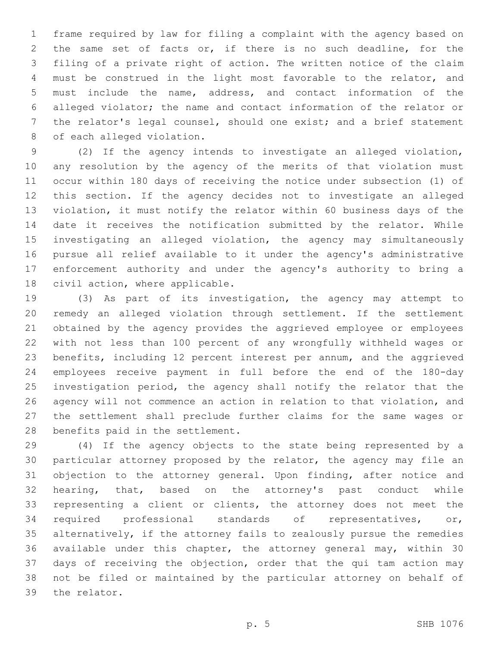frame required by law for filing a complaint with the agency based on the same set of facts or, if there is no such deadline, for the filing of a private right of action. The written notice of the claim must be construed in the light most favorable to the relator, and must include the name, address, and contact information of the alleged violator; the name and contact information of the relator or the relator's legal counsel, should one exist; and a brief statement 8 of each alleged violation.

 (2) If the agency intends to investigate an alleged violation, any resolution by the agency of the merits of that violation must occur within 180 days of receiving the notice under subsection (1) of this section. If the agency decides not to investigate an alleged violation, it must notify the relator within 60 business days of the date it receives the notification submitted by the relator. While investigating an alleged violation, the agency may simultaneously pursue all relief available to it under the agency's administrative enforcement authority and under the agency's authority to bring a 18 civil action, where applicable.

 (3) As part of its investigation, the agency may attempt to remedy an alleged violation through settlement. If the settlement obtained by the agency provides the aggrieved employee or employees with not less than 100 percent of any wrongfully withheld wages or benefits, including 12 percent interest per annum, and the aggrieved employees receive payment in full before the end of the 180-day investigation period, the agency shall notify the relator that the agency will not commence an action in relation to that violation, and the settlement shall preclude further claims for the same wages or 28 benefits paid in the settlement.

 (4) If the agency objects to the state being represented by a particular attorney proposed by the relator, the agency may file an objection to the attorney general. Upon finding, after notice and hearing, that, based on the attorney's past conduct while representing a client or clients, the attorney does not meet the required professional standards of representatives, or, alternatively, if the attorney fails to zealously pursue the remedies available under this chapter, the attorney general may, within 30 days of receiving the objection, order that the qui tam action may not be filed or maintained by the particular attorney on behalf of 39 the relator.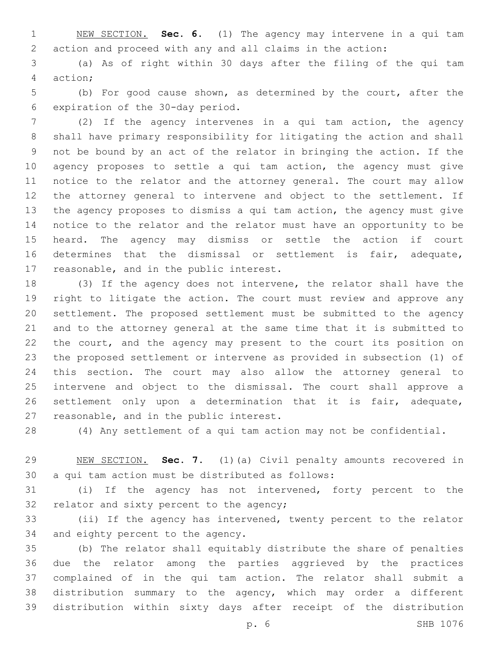NEW SECTION. **Sec. 6.** (1) The agency may intervene in a qui tam action and proceed with any and all claims in the action:

 (a) As of right within 30 days after the filing of the qui tam action;4

 (b) For good cause shown, as determined by the court, after the 6 expiration of the 30-day period.

 (2) If the agency intervenes in a qui tam action, the agency shall have primary responsibility for litigating the action and shall not be bound by an act of the relator in bringing the action. If the agency proposes to settle a qui tam action, the agency must give notice to the relator and the attorney general. The court may allow the attorney general to intervene and object to the settlement. If the agency proposes to dismiss a qui tam action, the agency must give notice to the relator and the relator must have an opportunity to be heard. The agency may dismiss or settle the action if court determines that the dismissal or settlement is fair, adequate, 17 reasonable, and in the public interest.

 (3) If the agency does not intervene, the relator shall have the right to litigate the action. The court must review and approve any settlement. The proposed settlement must be submitted to the agency and to the attorney general at the same time that it is submitted to 22 the court, and the agency may present to the court its position on the proposed settlement or intervene as provided in subsection (1) of this section. The court may also allow the attorney general to intervene and object to the dismissal. The court shall approve a settlement only upon a determination that it is fair, adequate, 27 reasonable, and in the public interest.

(4) Any settlement of a qui tam action may not be confidential.

 NEW SECTION. **Sec. 7.** (1)(a) Civil penalty amounts recovered in a qui tam action must be distributed as follows:

 (i) If the agency has not intervened, forty percent to the 32 relator and sixty percent to the agency;

 (ii) If the agency has intervened, twenty percent to the relator 34 and eighty percent to the agency.

 (b) The relator shall equitably distribute the share of penalties due the relator among the parties aggrieved by the practices complained of in the qui tam action. The relator shall submit a distribution summary to the agency, which may order a different distribution within sixty days after receipt of the distribution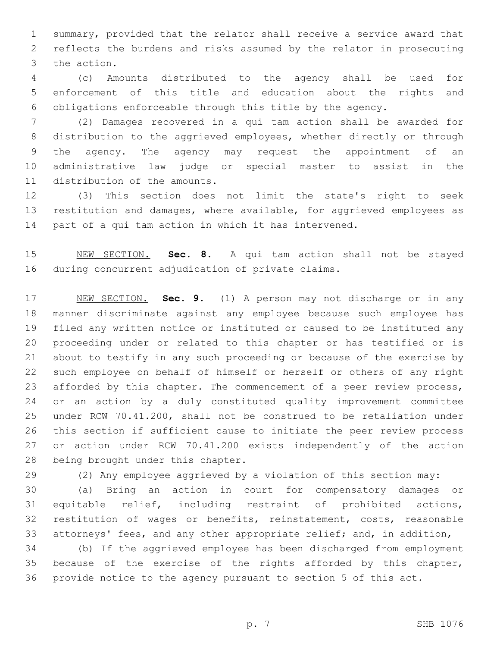summary, provided that the relator shall receive a service award that reflects the burdens and risks assumed by the relator in prosecuting 3 the action.

 (c) Amounts distributed to the agency shall be used for enforcement of this title and education about the rights and obligations enforceable through this title by the agency.

 (2) Damages recovered in a qui tam action shall be awarded for distribution to the aggrieved employees, whether directly or through the agency. The agency may request the appointment of an administrative law judge or special master to assist in the 11 distribution of the amounts.

 (3) This section does not limit the state's right to seek restitution and damages, where available, for aggrieved employees as part of a qui tam action in which it has intervened.

 NEW SECTION. **Sec. 8.** A qui tam action shall not be stayed during concurrent adjudication of private claims.

 NEW SECTION. **Sec. 9.** (1) A person may not discharge or in any manner discriminate against any employee because such employee has filed any written notice or instituted or caused to be instituted any proceeding under or related to this chapter or has testified or is about to testify in any such proceeding or because of the exercise by such employee on behalf of himself or herself or others of any right 23 afforded by this chapter. The commencement of a peer review process, or an action by a duly constituted quality improvement committee under RCW 70.41.200, shall not be construed to be retaliation under this section if sufficient cause to initiate the peer review process or action under RCW 70.41.200 exists independently of the action being brought under this chapter.

(2) Any employee aggrieved by a violation of this section may:

 (a) Bring an action in court for compensatory damages or equitable relief, including restraint of prohibited actions, restitution of wages or benefits, reinstatement, costs, reasonable attorneys' fees, and any other appropriate relief; and, in addition,

 (b) If the aggrieved employee has been discharged from employment because of the exercise of the rights afforded by this chapter, provide notice to the agency pursuant to section 5 of this act.